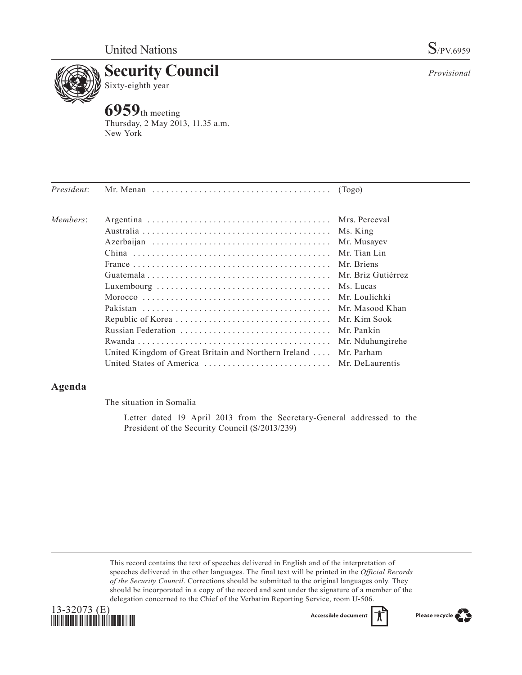

# **Security Council**<br>Sixty-eighth year Sixty-eighth year

**6959**th meeting Thursday, 2 May 2013, 11.35 a.m. New York

| President: | Mr. Menan $\dots \dots \dots \dots \dots \dots \dots \dots \dots \dots \dots \dots$ (Togo) |                    |
|------------|--------------------------------------------------------------------------------------------|--------------------|
| Members:   |                                                                                            | Mrs. Perceval      |
|            |                                                                                            | Ms. King           |
|            |                                                                                            | Mr. Musayev        |
|            |                                                                                            | Mr. Tian Lin       |
|            |                                                                                            | Mr. Briens         |
|            |                                                                                            | Mr. Briz Gutiérrez |
|            |                                                                                            | Ms. Lucas          |
|            |                                                                                            | Mr. Loulichki      |
|            |                                                                                            | Mr. Masood Khan    |
|            |                                                                                            | Mr. Kim Sook       |
|            |                                                                                            | Mr. Pankin         |
|            |                                                                                            | Mr. Nduhungirehe   |
|            | United Kingdom of Great Britain and Northern Ireland                                       | Mr. Parham         |
|            |                                                                                            | Mr. DeLaurentis    |
|            |                                                                                            |                    |

## **Agenda**

The situation in Somalia

Letter dated 19 April 2013 from the Secretary-General addressed to the President of the Security Council (S/2013/239)

This record contains the text of speeches delivered in English and of the interpretation of speeches delivered in the other languages. The final text will be printed in the *Official Records of the Security Council*. Corrections should be submitted to the original languages only. They should be incorporated in a copy of the record and sent under the signature of a member of the delegation concerned to the Chief of the Verbatim Reporting Service, room U-506.





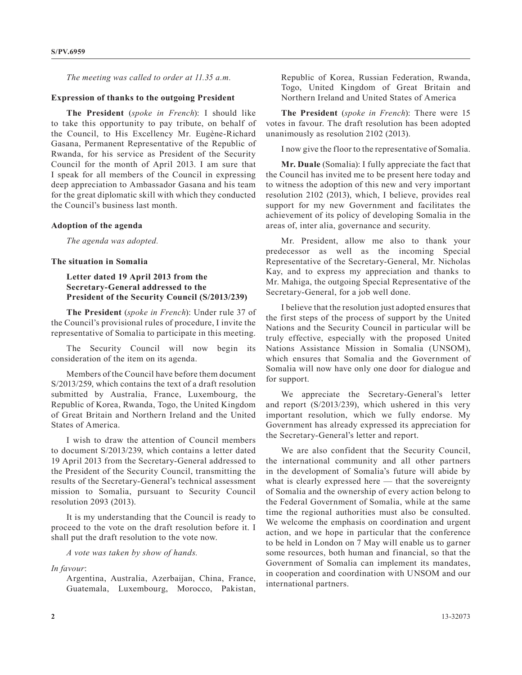*The meeting was called to order at 11.35 a.m.*

#### **Expression of thanks to the outgoing President**

**The President** (*spoke in French*): I should like to take this opportunity to pay tribute, on behalf of the Council, to His Excellency Mr. Eugène-Richard Gasana, Permanent Representative of the Republic of Rwanda, for his service as President of the Security Council for the month of April 2013. I am sure that I speak for all members of the Council in expressing deep appreciation to Ambassador Gasana and his team for the great diplomatic skill with which they conducted the Council's business last month.

#### **Adoption of the agenda**

*The agenda was adopted.*

#### **The situation in Somalia**

### **Letter dated 19 April 2013 from the Secretary-General addressed to the President of the Security Council (S/2013/239)**

**The President** (*spoke in French*): Under rule 37 of the Council's provisional rules of procedure, I invite the representative of Somalia to participate in this meeting.

The Security Council will now begin its consideration of the item on its agenda.

Members of the Council have before them document S/2013/259, which contains the text of a draft resolution submitted by Australia, France, Luxembourg, the Republic of Korea, Rwanda, Togo, the United Kingdom of Great Britain and Northern Ireland and the United States of America.

I wish to draw the attention of Council members to document S/2013/239, which contains a letter dated 19 April 2013 from the Secretary-General addressed to the President of the Security Council, transmitting the results of the Secretary-General's technical assessment mission to Somalia, pursuant to Security Council resolution 2093 (2013).

It is my understanding that the Council is ready to proceed to the vote on the draft resolution before it. I shall put the draft resolution to the vote now.

*A vote was taken by show of hands.*

*In favour*:

Argentina, Australia, Azerbaijan, China, France, Guatemala, Luxembourg, Morocco, Pakistan, Republic of Korea, Russian Federation, Rwanda, Togo, United Kingdom of Great Britain and Northern Ireland and United States of America

**The President** (*spoke in French*): There were 15 votes in favour. The draft resolution has been adopted unanimously as resolution 2102 (2013).

I now give the floor to the representative of Somalia.

**Mr. Duale** (Somalia): I fully appreciate the fact that the Council has invited me to be present here today and to witness the adoption of this new and very important resolution 2102 (2013), which, I believe, provides real support for my new Government and facilitates the achievement of its policy of developing Somalia in the areas of, inter alia, governance and security.

Mr. President, allow me also to thank your predecessor as well as the incoming Special Representative of the Secretary-General, Mr. Nicholas Kay, and to express my appreciation and thanks to Mr. Mahiga, the outgoing Special Representative of the Secretary-General, for a job well done.

I believe that the resolution just adopted ensures that the first steps of the process of support by the United Nations and the Security Council in particular will be truly effective, especially with the proposed United Nations Assistance Mission in Somalia (UNSOM), which ensures that Somalia and the Government of Somalia will now have only one door for dialogue and for support.

We appreciate the Secretary-General's letter and report (S/2013/239), which ushered in this very important resolution, which we fully endorse. My Government has already expressed its appreciation for the Secretary-General's letter and report.

We are also confident that the Security Council, the international community and all other partners in the development of Somalia's future will abide by what is clearly expressed here — that the sovereignty of Somalia and the ownership of every action belong to the Federal Government of Somalia, while at the same time the regional authorities must also be consulted. We welcome the emphasis on coordination and urgent action, and we hope in particular that the conference to be held in London on 7 May will enable us to garner some resources, both human and financial, so that the Government of Somalia can implement its mandates, in cooperation and coordination with UNSOM and our international partners.